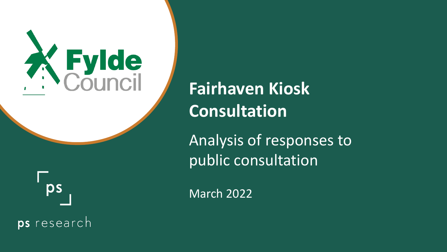

**Fairhaven Kiosk Consultation**

Analysis of responses to public consultation



March 2022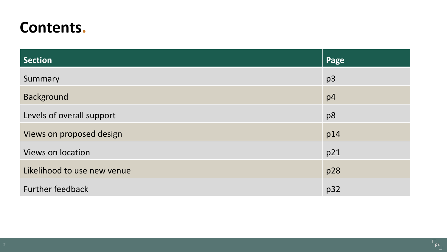## **Contents.**

| <b>Section</b>              | Page           |
|-----------------------------|----------------|
| Summary                     | p <sub>3</sub> |
| <b>Background</b>           | p4             |
| Levels of overall support   | p8             |
| Views on proposed design    | p14            |
| <b>Views on location</b>    | p21            |
| Likelihood to use new venue | p28            |
| <b>Further feedback</b>     | p32            |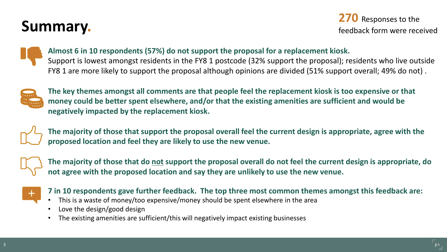## **Summary.**

**270** Responses to the feedback form were received



### **Almost 6 in 10 respondents (57%) do not support the proposal for a replacement kiosk.**

Support is lowest amongst residents in the FY8 1 postcode (32% support the proposal); residents who live outside FY8 1 are more likely to support the proposal although opinions are divided (51% support overall; 49% do not) .



**The key themes amongst all comments are that people feel the replacement kiosk is too expensive or that money could be better spent elsewhere, and/or that the existing amenities are sufficient and would be negatively impacted by the replacement kiosk.**



**The majority of those that support the proposal overall feel the current design is appropriate, agree with the proposed location and feel they are likely to use the new venue.**



The majority of those that do **not** support the proposal overall do not feel the current design is appropriate, do **not agree with the proposed location and say they are unlikely to use the new venue.**



**7 in 10 respondents gave further feedback. The top three most common themes amongst this feedback are:**

- This is a waste of money/too expensive/money should be spent elsewhere in the area
- Love the design/good design
- The existing amenities are sufficient/this will negatively impact existing businesses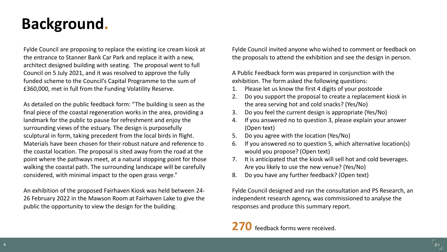## **Background.**

Fylde Council are proposing to replace the existing ice cream kiosk at the entrance to Stanner Bank Car Park and replace it with a new, architect designed building with seating. The proposal went to full Council on 5 July 2021, and it was resolved to approve the fully funded scheme to the Council's Capital Programme to the sum of £360,000, met in full from the Funding Volatility Reserve.

As detailed on the public feedback form: "The building is seen as the final piece of the coastal regeneration works in the area, providing a landmark for the public to pause for refreshment and enjoy the surrounding views of the estuary. The design is purposefully sculptural in form, taking precedent from the local birds in flight. Materials have been chosen for their robust nature and reference to the coastal location. The proposal is sited away from the road at the point where the pathways meet, at a natural stopping point for those walking the coastal path. The surrounding landscape will be carefully considered, with minimal impact to the open grass verge."

An exhibition of the proposed Fairhaven Kiosk was held between 24- 26 February 2022 in the Mawson Room at Fairhaven Lake to give the public the opportunity to view the design for the building.

Fylde Council invited anyone who wished to comment or feedback on the proposals to attend the exhibition and see the design in person.

A Public Feedback form was prepared in conjunction with the exhibition. The form asked the following questions:

- 1. Please let us know the first 4 digits of your postcode
- 2. Do you support the proposal to create a replacement kiosk in the area serving hot and cold snacks? (Yes/No)
- 3. Do you feel the current design is appropriate (Yes/No)
- 4. If you answered no to question 3, please explain your answer (Open text)
- 5. Do you agree with the location (Yes/No)
- 6. If you answered no to question 5, which alternative location(s) would you propose? (Open text)
- 7. It is anticipated that the kiosk will sell hot and cold beverages. Are you likely to use the new venue? (Yes/No)
- 8. Do you have any further feedback? (Open text)

Fylde Council designed and ran the consultation and PS Research, an independent research agency, was commissioned to analyse the responses and produce this summary report.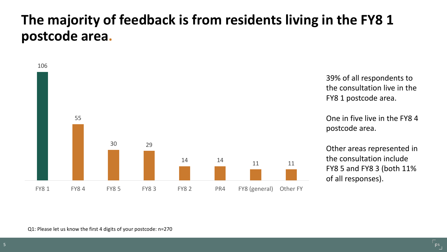### **The majority of feedback is from residents living in the FY8 1 postcode area.**



39% of all respondents to the consultation live in the FY8 1 postcode area.

One in five live in the FY8 4 postcode area.

Other areas represented in the consultation include FY8 5 and FY8 3 (both 11% of all responses).

Q1: Please let us know the first 4 digits of your postcode: n=270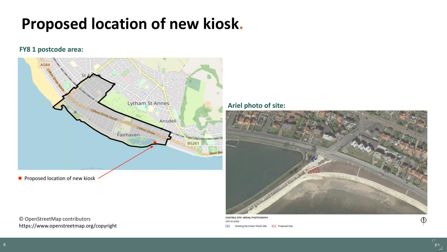## **Proposed location of new kiosk.**

#### **FY8 1 postcode area:**



**•** Proposed location of new kiosk

© OpenStreetMap contributors https://www.openstreetmap.org/copyright **Ariel photo of site:**



**EXISTING SITE: AERIAL PHOTOGRAPH** (not to scale) **IC3** Existing Ice Cream Kiosk Site **IC3** Proposal Site

 $\bigoplus$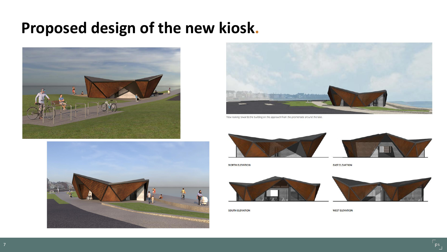## **Proposed design of the new kiosk.**







View looking towards the building on the approach from the promenade around the lake.



**NORTH ELEVATION** 



SOUTH ELEVATION



**WEST ELEVATION** 

**EAST ELEVATION**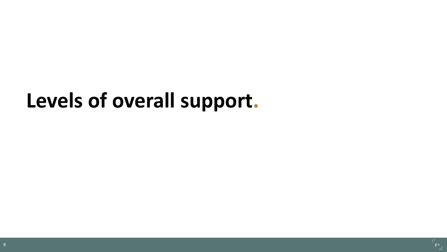# **Levels of overall support.**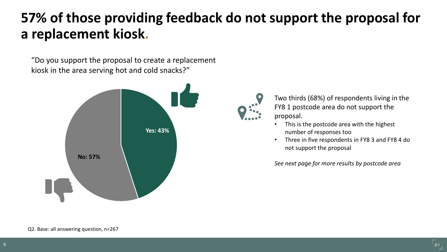## **57% of those providing feedback do not support the proposal for a replacement kiosk.**

"Do you support the proposal to create a replacement kiosk in the area serving hot and cold snacks?"





Two thirds (68%) of respondents living in the FY8 1 postcode area do not support the proposal.

- This is the postcode area with the highest number of responses too
- Three in five respondents in FY8 3 and FY8 4 do not support the proposal

*See next page for more results by postcode area*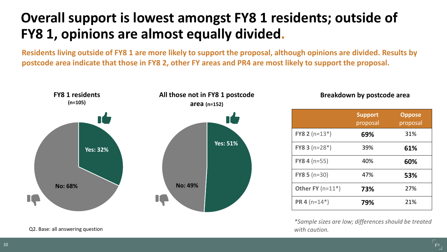## **Overall support is lowest amongst FY8 1 residents; outside of FY8 1, opinions are almost equally divided.**

**Residents living outside of FY8 1 are more likely to support the proposal, although opinions are divided. Results by postcode area indicate that those in FY8 2, other FY areas and PR4 are most likely to support the proposal.**



#### Q2. Base: all answering question

**Breakdown by postcode area**

|                          | <b>Support</b><br>proposal | <b>Oppose</b><br>proposal |
|--------------------------|----------------------------|---------------------------|
| <b>FY8 2</b> ( $n=13*$ ) | 69%                        | 31%                       |
| <b>FY8 3</b> ( $n=28*$ ) | 39%                        | 61%                       |
| FY8 4 $(n=55)$           | 40%                        | 60%                       |
| $FY85(n=30)$             | 47%                        | 53%                       |
| Other FY $(n=11^*)$      | 73%                        | 27%                       |
| <b>PR 4</b> ( $n=14*$ )  | 79%                        | 21%                       |

*\*Sample sizes are low; differences should be treated with caution.*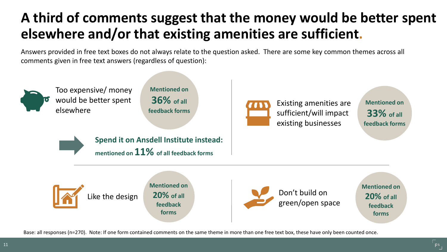## **A third of comments suggest that the money would be better spent elsewhere and/or that existing amenities are sufficient.**

Answers provided in free text boxes do not always relate to the question asked. There are some key common themes across all comments given in free text answers (regardless of question):



Too expensive/ money would be better spent elsewhere

**Mentioned on 36% of all feedback forms**



Existing amenities are sufficient/will impact existing businesses

**Mentioned on 33% of all feedback forms**



**Spend it on Ansdell Institute instead: mentioned on 11% of all feedback forms**



Like the design

**Mentioned on 20% of all feedback forms**



Don't build on green/open space **Mentioned on 20% of all feedback forms**

Base: all responses (n=270). Note: If one form contained comments on the same theme in more than one free text box, these have only been counted once.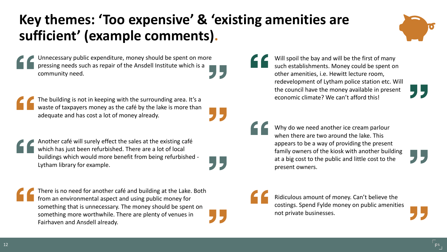## **Key themes: 'Too expensive' & 'existing amenities are sufficient' (example comments).**



Unnecessary public expenditure, money should be spent on more pressing needs such as repair of the Ansdell Institute which is a community need.

The building is not in keeping with the surrounding area. It's a waste of taxpayers money as the café by the lake is more than adequate and has cost a lot of money already.

Another café will surely effect the sales at the existing café which has just been refurbished. There are a lot of local buildings which would more benefit from being refurbished - Lytham library for example.

There is no need for another café and building at the Lake. Both from an environmental aspect and using public money for something that is unnecessary. The money should be spent on something more worthwhile. There are plenty of venues in Fairhaven and Ansdell already.

Will spoil the bay and will be the first of many such establishments. Money could be spent on other amenities, i.e. Hewitt lecture room, redevelopment of Lytham police station etc. Will the council have the money available in present economic climate? We can't afford this!

Why do we need another ice cream parlour when there are two around the lake. This appears to be a way of providing the present family owners of the kiosk with another building at a big cost to the public and little cost to the present owners.

Ridiculous amount of money. Can't believe the costings. Spend Fylde money on public amenities not private businesses.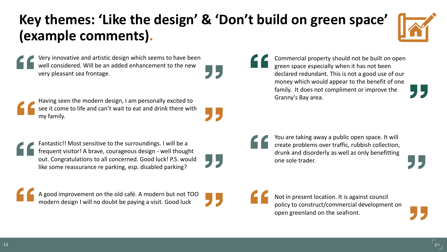## **Key themes: 'Like the design' & 'Don't build on green space' (example comments).**

55



Very innovative and artistic design which seems to have been well considered. Will be an added enhancement to the new very pleasant sea frontage.

Having seen the modern design, I am personally excited to see it come to life and can't wait to eat and drink there with my family.

Fantastic!! Most sensitive to the surroundings. I will be a frequent visitor! A brave, courageous design - well thought out. Congratulations to all concerned. Good luck! P.S. would like some reassurance re parking, esp. disabled parking?

A good improvement on the old café. A modern but not TOO modern design I will no doubt be paying a visit. Good luck

Commercial property should not be built on open green space especially when it has not been declared redundant. This is not a good use of our money which would appear to the benefit of one family. It does not compliment or improve the Granny's Bay area.

You are taking away a public open space. It will create problems over traffic, rubbish collection, drunk and disorderly as well as only benefitting one sole trader.

Not in present location. It is against council policy to construct/commercial development on open greenland on the seafront.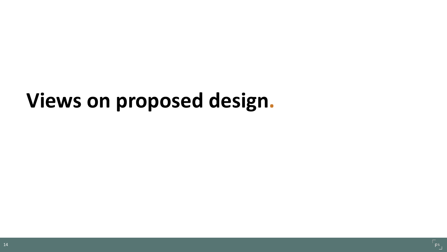# **Views on proposed design.**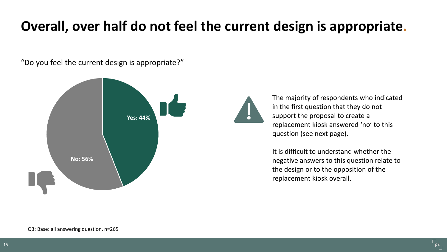## **Overall, over half do not feel the current design is appropriate.**

"Do you feel the current design is appropriate?"



The majority of respondents who indicated in the first question that they do not support the proposal to create a replacement kiosk answered 'no' to this question (see next page).

It is difficult to understand whether the negative answers to this question relate to the design or to the opposition of the replacement kiosk overall.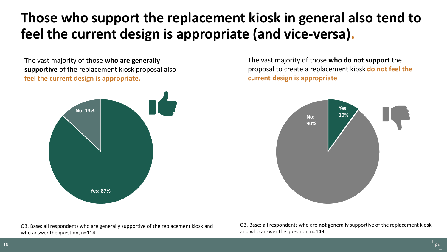## **Those who support the replacement kiosk in general also tend to feel the current design is appropriate (and vice-versa).**

The vast majority of those **who are generally supportive** of the replacement kiosk proposal also **feel the current design is appropriate.**



The vast majority of those **who do not support** the proposal to create a replacement kiosk **do not feel the current design is appropriate**



Q3. Base: all respondents who are generally supportive of the replacement kiosk and who answer the question, n=114

Q3. Base: all respondents who are **not** generally supportive of the replacement kiosk and who answer the question, n=149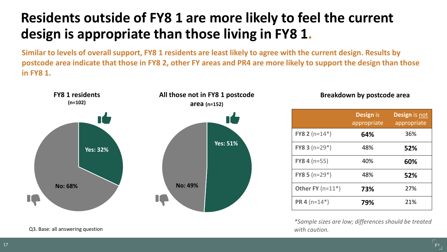## **Residents outside of FY8 1 are more likely to feel the current design is appropriate than those living in FY8 1.**

**Similar to levels of overall support, FY8 1 residents are least likely to agree with the current design. Results by postcode area indicate that those in FY8 2, other FY areas and PR4 are more likely to support the design than those in FY8 1.**



#### **Breakdown by postcode area**

|                          | <b>Design is</b><br>appropriate | <b>Design is not</b><br>appropriate |
|--------------------------|---------------------------------|-------------------------------------|
| <b>FY8 2</b> ( $n=14*$ ) | 64%                             | 36%                                 |
| FY8 3 $(n=29*)$          | 48%                             | 52%                                 |
| $FY84(n=55)$             | 40%                             | 60%                                 |
| FY8 5 $(n=29*)$          | 48%                             | 52%                                 |
| Other FY $(n=11*)$       | 73%                             | 27%                                 |
| <b>PR 4</b> ( $n=14*$ )  | 79%                             | 21%                                 |

*\*Sample sizes are low; differences should be treated with caution.*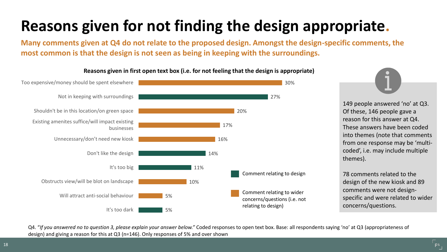## **Reasons given for not finding the design appropriate.**

**Many comments given at Q4 do not relate to the proposed design. Amongst the design-specific comments, the most common is that the design is not seen as being in keeping with the surroundings.**



#### **Reasons given in first open text box (i.e. for not feeling that the design is appropriate)**

149 people answered 'no' at Q3. Of these, 146 people gave a reason for this answer at Q4. These answers have been coded into themes (note that comments from one response may be 'multicoded', i.e. may include multiple themes).

78 comments related to the design of the new kiosk and 89 comments were not designspecific and were related to wider concerns/questions.

Q4. "*If you answered no to question 3, please explain your answer below."* Coded responses to open text box. Base: all respondents saying 'no' at Q3 (appropriateness of design) and giving a reason for this at Q3 (n=146). Only responses of 5% and over shown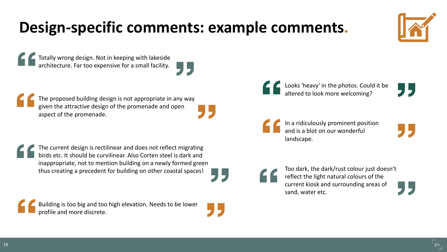## **Design-specific comments: example comments.**

Totally wrong design. Not in keeping with lakeside architecture. Far too expensive for a small facility.



The proposed building design is not appropriate in any way given the attractive design of the promenade and open aspect of the promenade.

The current design is rectilinear and does not reflect migrating birds etc. It should be curvilinear. Also Corten steel is dark and inappropriate, not to mention building on a newly formed green thus creating a precedent for building on other coastal spaces!

Building is too big and too high elevation. Needs to be lower profile and more discrete.

Looks 'heavy' in the photos. Could it be altered to look more welcoming?

In a ridiculously prominent position and is a blot on our wonderful landscape.



Too dark, the dark/rust colour just doesn't reflect the light natural colours of the current kiosk and surrounding areas of sand, water etc.

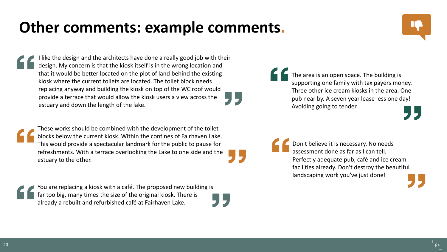## **Other comments: example comments.**

I like the design and the architects have done a really good job with their design. My concern is that the kiosk itself is in the wrong location and that it would be better located on the plot of land behind the existing kiosk where the current toilets are located. The toilet block needs replacing anyway and building the kiosk on top of the WC roof would provide a terrace that would allow the kiosk users a view across the estuary and down the length of the lake.

These works should be combined with the development of the toilet blocks below the current kiosk. Within the confines of Fairhaven Lake. This would provide a spectacular landmark for the public to pause for refreshments. With a terrace overlooking the Lake to one side and the estuary to the other.

You are replacing a kiosk with a café. The proposed new building is far too big, many times the size of the original kiosk. There is already a rebuilt and refurbished café at Fairhaven Lake.

The area is an open space. The building is supporting one family with tax payers money. Three other ice cream kiosks in the area. One pub near by. A seven year lease less one day! Avoiding going to tender.



Don't believe it is necessary. No needs assessment done as far as I can tell. Perfectly adequate pub, café and ice cream facilities already. Don't destroy the beautiful landscaping work you've just done!

20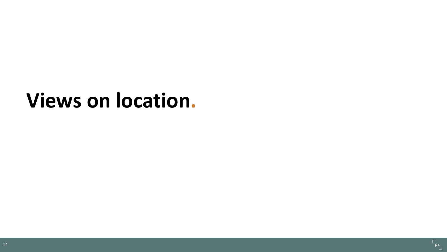## **Views on location.**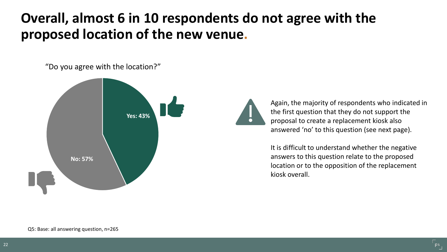### **Overall, almost 6 in 10 respondents do not agree with the proposed location of the new venue.**

"Do you agree with the location?"



Again, the majority of respondents who indicated in the first question that they do not support the proposal to create a replacement kiosk also answered 'no' to this question (see next page).

It is difficult to understand whether the negative answers to this question relate to the proposed location or to the opposition of the replacement kiosk overall.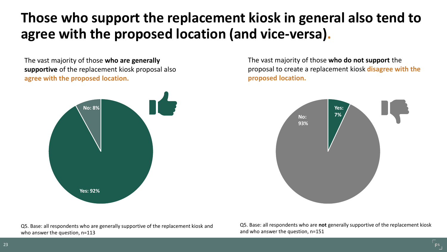## **Those who support the replacement kiosk in general also tend to agree with the proposed location (and vice-versa).**

The vast majority of those **who are generally supportive** of the replacement kiosk proposal also **agree with the proposed location.**



The vast majority of those **who do not support** the proposal to create a replacement kiosk **disagree with the proposed location.**



Q5. Base: all respondents who are generally supportive of the replacement kiosk and who answer the question, n=113

Q5. Base: all respondents who are **not** generally supportive of the replacement kiosk and who answer the question, n=151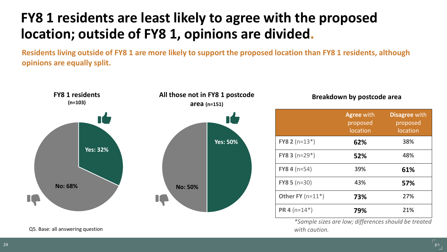## **FY8 1 residents are least likely to agree with the proposed location; outside of FY8 1, opinions are divided.**

**Residents living outside of FY8 1 are more likely to support the proposed location than FY8 1 residents, although opinions are equally split.** 



Q5. Base: all answering question

#### **Breakdown by postcode area**

|                          | <b>Agree with</b><br>proposed<br>location | <b>Disagree with</b><br>proposed<br>location |
|--------------------------|-------------------------------------------|----------------------------------------------|
| FY8 2 $(n=13*)$          | 62%                                       | 38%                                          |
| <b>FY8 3</b> ( $n=29*$ ) | 52%                                       | 48%                                          |
| $FY84(n=54)$             | 39%                                       | 61%                                          |
| $FY85(n=30)$             | 43%                                       | 57%                                          |
| Other FY $(n=11^*)$      | 73%                                       | 27%                                          |
| <b>PR 4</b> ( $n=14*$ )  | 79%                                       | 21%                                          |

*\*Sample sizes are low; differences should be treated with caution.*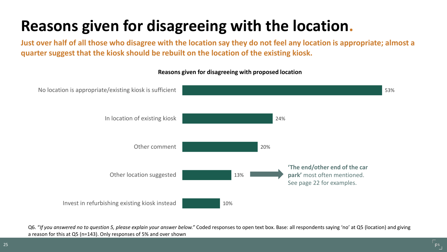## **Reasons given for disagreeing with the location.**

**Just over half of all those who disagree with the location say they do not feel any location is appropriate; almost a quarter suggest that the kiosk should be rebuilt on the location of the existing kiosk.**



**Reasons given for disagreeing with proposed location**

Q6. "*If you answered no to question 5, please explain your answer below."* Coded responses to open text box. Base: all respondents saying 'no' at Q5 (location) and giving a reason for this at Q5 (n=143). Only responses of 5% and over shown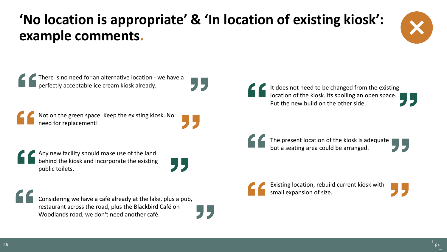## **'No location is appropriate' & 'In location of existing kiosk': example comments.**





Considering we have a café already at the lake, plus a pub, restaurant across the road, plus the Blackbird Café on Woodlands road, we don't need another café.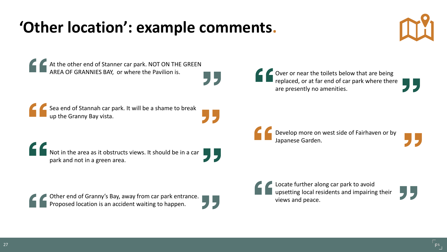## **'Other location': example comments.**





At the other end of Stanner car park. NOT ON THE GREEN AREA OF GRANNIES BAY, or where the Pavilion is.

Sea end of Stannah car park. It will be a shame to break up the Granny Bay vista.

 $\blacksquare$  Not in the area as it obstructs views. It should be in a car  $\blacksquare$ park and not in a green area.

Other end of Granny's Bay, away from car park entrance. Proposed location is an accident waiting to happen.

Over or near the toilets below that are being replaced, or at far end of car park where there are presently no amenities.

Develop more on west side of Fairhaven or by Japanese Garden.

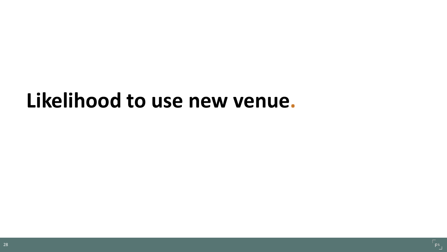## **Likelihood to use new venue.**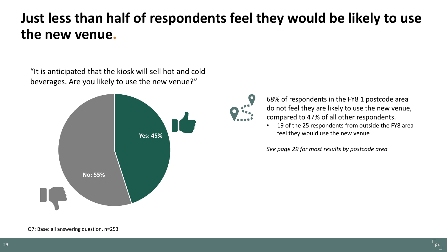### **Just less than half of respondents feel they would be likely to use the new venue.**

"It is anticipated that the kiosk will sell hot and cold beverages. Are you likely to use the new venue?"





68% of respondents in the FY8 1 postcode area do not feel they are likely to use the new venue, compared to 47% of all other respondents.

19 of the 25 respondents from outside the FY8 area feel they would use the new venue

*See page 29 for most results by postcode area*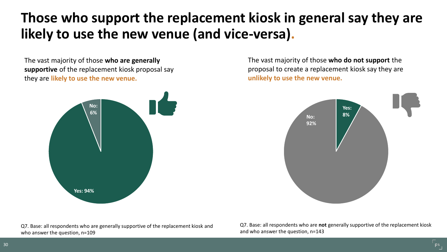## **Those who support the replacement kiosk in general say they are likely to use the new venue (and vice-versa).**

The vast majority of those **who are generally supportive** of the replacement kiosk proposal say they are **likely to use the new venue.**



The vast majority of those **who do not support** the proposal to create a replacement kiosk say they are **unlikely to use the new venue.**



Q7. Base: all respondents who are generally supportive of the replacement kiosk and who answer the question, n=109

Q7. Base: all respondents who are **not** generally supportive of the replacement kiosk and who answer the question, n=143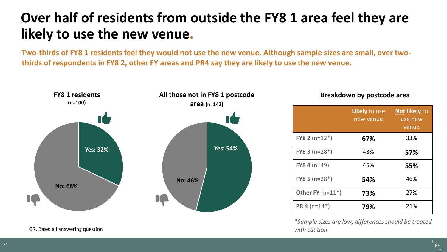## **Over half of residents from outside the FY8 1 area feel they are likely to use the new venue.**

**Two-thirds of FY8 1 residents feel they would not use the new venue. Although sample sizes are small, over twothirds of respondents in FY8 2, other FY areas and PR4 say they are likely to use the new venue.**



**Breakdown by postcode area**

|                          | Likely to use<br>new venue | Not likely to<br>use new<br>venue |
|--------------------------|----------------------------|-----------------------------------|
| <b>FY8 2</b> ( $n=12*$ ) | 67%                        | 33%                               |
| <b>FY8 3</b> ( $n=28*$ ) | 43%                        | 57%                               |
| <b>FY8 4</b> ( $n=49$ )  | 45%                        | 55%                               |
| <b>FY8 5</b> ( $n=28*$ ) | 54%                        | 46%                               |
| Other FY $(n=11^*)$      | 73%                        | 27%                               |
| <b>PR 4</b> ( $n=14*$ )  | 79%                        | 21%                               |

*\*Sample sizes are low; differences should be treated with caution.*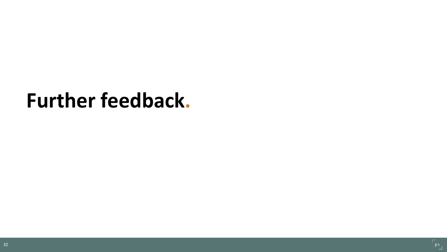## **Further feedback.**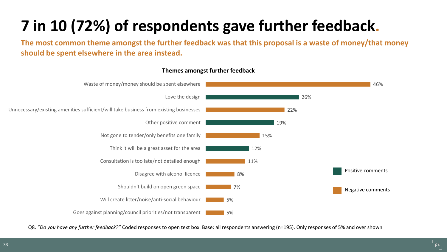## **7 in 10 (72%) of respondents gave further feedback.**

**The most common theme amongst the further feedback was that this proposal is a waste of money/that money should be spent elsewhere in the area instead.**



#### **Themes amongst further feedback**

Q8. "*Do you have any further feedback?"* Coded responses to open text box. Base: all respondents answering (n=195). Only responses of 5% and over shown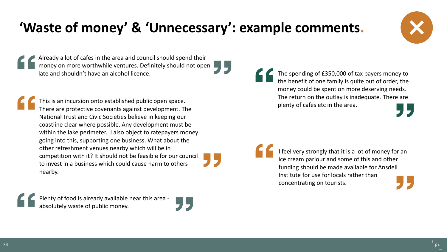## **'Waste of money' & 'Unnecessary': example comments.**

Already a lot of cafes in the area and council should spend their money on more worthwhile ventures. Definitely should not open late and shouldn't have an alcohol licence.

This is an incursion onto established public open space. There are protective covenants against development. The National Trust and Civic Societies believe in keeping our coastline clear where possible. Any development must be within the lake perimeter. I also object to ratepayers money going into this, supporting one business. What about the other refreshment venues nearby which will be in competition with it? It should not be feasible for our council to invest in a business which could cause harm to others nearby.

The spending of £350,000 of tax payers money to the benefit of one family is quite out of order, the money could be spent on more deserving needs. The return on the outlay is inadequate. There are plenty of cafes etc in the area.



Plenty of food is already available near this area absolutely waste of public money.





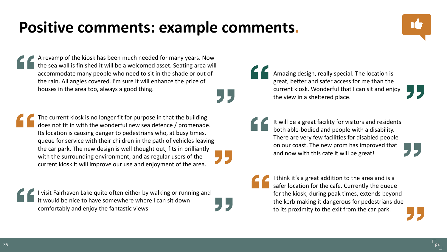## **Positive comments: example comments.**



The current kiosk is no longer fit for purpose in that the building does not fit in with the wonderful new sea defence / promenade. Its location is causing danger to pedestrians who, at busy times, queue for service with their children in the path of vehicles leaving the car park. The new design is well thought out, fits in brilliantly with the surrounding environment, and as regular users of the current kiosk it will improve our use and enjoyment of the area.

I visit Fairhaven Lake quite often either by walking or running and it would be nice to have somewhere where I can sit down comfortably and enjoy the fantastic views

Amazing design, really special. The location is great, better and safer access for me than the current kiosk. Wonderful that I can sit and enjoy the view in a sheltered place.

It will be a great facility for visitors and residents both able-bodied and people with a disability. There are very few facilities for disabled people on our coast. The new prom has improved that and now with this cafe it will be great!

I think it's a great addition to the area and is a safer location for the cafe. Currently the queue for the kiosk, during peak times, extends beyond the kerb making it dangerous for pedestrians due to its proximity to the exit from the car park.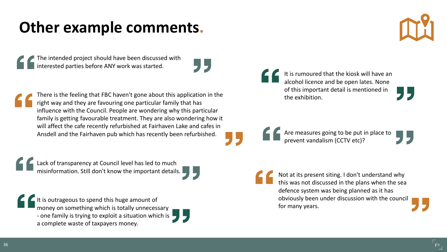## **Other example comments.**

The intended project should have been discussed with interested parties before ANY work was started.



There is the feeling that FBC haven't gone about this application in the right way and they are favouring one particular family that has influence with the Council. People are wondering why this particular family is getting favourable treatment. They are also wondering how it will affect the cafe recently refurbished at Fairhaven Lake and cafes in Ansdell and the Fairhaven pub which has recently been refurbished.

Lack of transparency at Council level has led to much misinformation. Still don't know the important details.

 $\blacksquare$  It is outrageous to spend this huge amount of money on something which is totally unnecessary - one family is trying to exploit a situation which is  $\Box$ a complete waste of taxpayers money.



It is rumoured that the kiosk will have an alcohol licence and be open lates. None of this important detail is mentioned in the exhibition.

Are measures going to be put in place to<br>prevent vandalism (CCTV etc)?

Not at its present siting. I don't understand why this was not discussed in the plans when the sea defence system was being planned as it has obviously been under discussion with the council for many years.